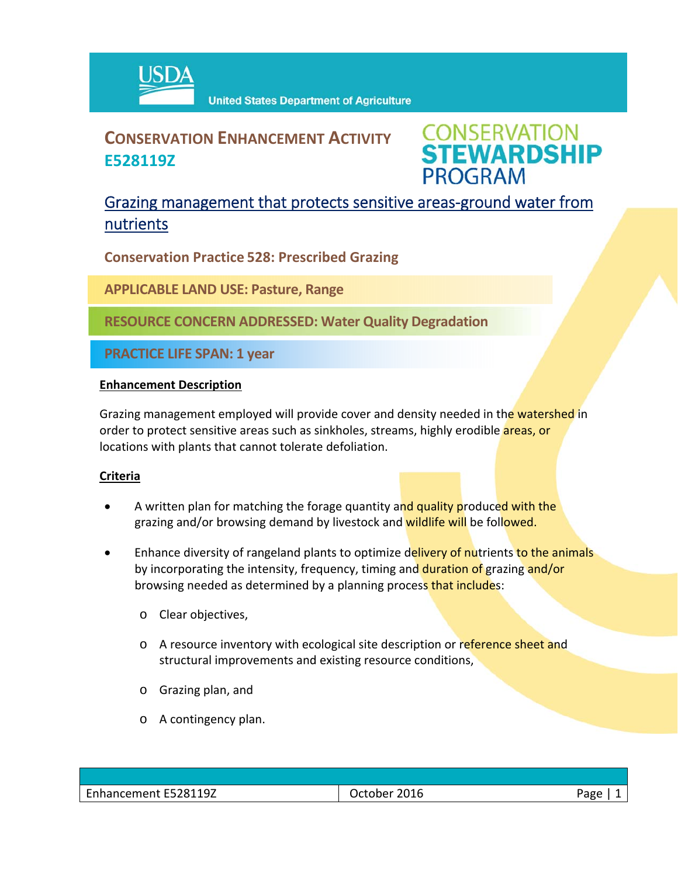

# **CONSERVATION ENHANCEMENT ACTIVITY E528119Z**



## Grazing management that protects sensitive areas‐ground water from nutrients

**Conservation Practice 528: Prescribed Grazing**

**APPLICABLE LAND USE: Pasture, Range**

**RESOURCE CONCERN ADDRESSED: Water Quality Degradation**

**PRACTICE LIFE SPAN: 1 year**

#### **Enhancement Description**

Grazing management employed will provide cover and density needed in the watershed in order to protect sensitive areas such as sinkholes, streams, highly erodible **areas, or** locations with plants that cannot tolerate defoliation.

### **Criteria**

- A written plan for matching the forage quantity and quality produced with the grazing and/or browsing demand by livestock and wildlife will be followed.
- Enhance diversity of rangeland plants to optimize delivery of nutrients to the animals by incorporating the intensity, frequency, timing and duration of grazing and/or browsing needed as determined by a planning process that includes:
	- o Clear objectives,
	- o A resource inventory with ecological site description or reference sheet and structural improvements and existing resource conditions,
	- o Grazing plan, and
	- o A contingency plan.

| Enhancement E528119Z | $-2016$<br>October | Page |
|----------------------|--------------------|------|